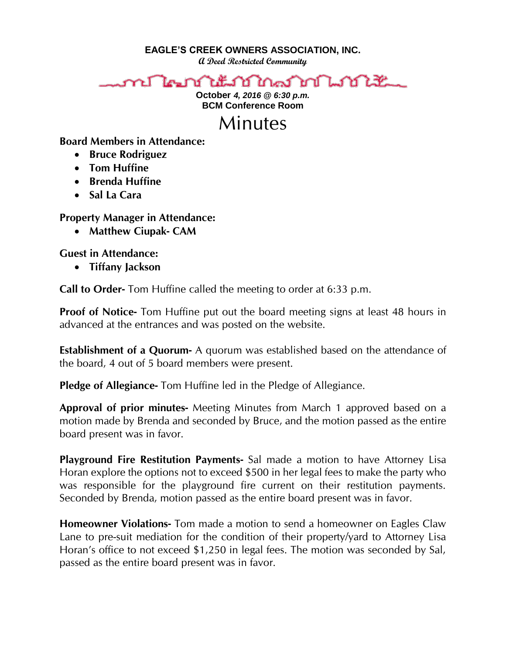**EAGLE'S CREEK OWNERS ASSOCIATION, INC.**

**A Deed Restricted Community**

## ใคมบันนัมบัณชาติกันมันแ r٢

**October** *4, 2016 @ 6:30 p.m.* **BCM Conference Room**



**Board Members in Attendance:** 

- **•** Bruce Rodriguez
- **Tom Huffine**
- **Brenda Huffine**
- **Sal La Cara**

**Property Manager in Attendance:**

**Matthew Ciupak- CAM**

**Guest in Attendance:**

**Tiffany Jackson**

**Call to Order-** Tom Huffine called the meeting to order at 6:33 p.m.

**Proof of Notice-** Tom Huffine put out the board meeting signs at least 48 hours in advanced at the entrances and was posted on the website.

**Establishment of a Quorum-** A quorum was established based on the attendance of the board, 4 out of 5 board members were present.

**Pledge of Allegiance-** Tom Huffine led in the Pledge of Allegiance.

**Approval of prior minutes-** Meeting Minutes from March 1 approved based on a motion made by Brenda and seconded by Bruce, and the motion passed as the entire board present was in favor.

**Playground Fire Restitution Payments-** Sal made a motion to have Attorney Lisa Horan explore the options not to exceed \$500 in her legal fees to make the party who was responsible for the playground fire current on their restitution payments. Seconded by Brenda, motion passed as the entire board present was in favor.

**Homeowner Violations-** Tom made a motion to send a homeowner on Eagles Claw Lane to pre-suit mediation for the condition of their property/yard to Attorney Lisa Horan's office to not exceed \$1,250 in legal fees. The motion was seconded by Sal, passed as the entire board present was in favor.